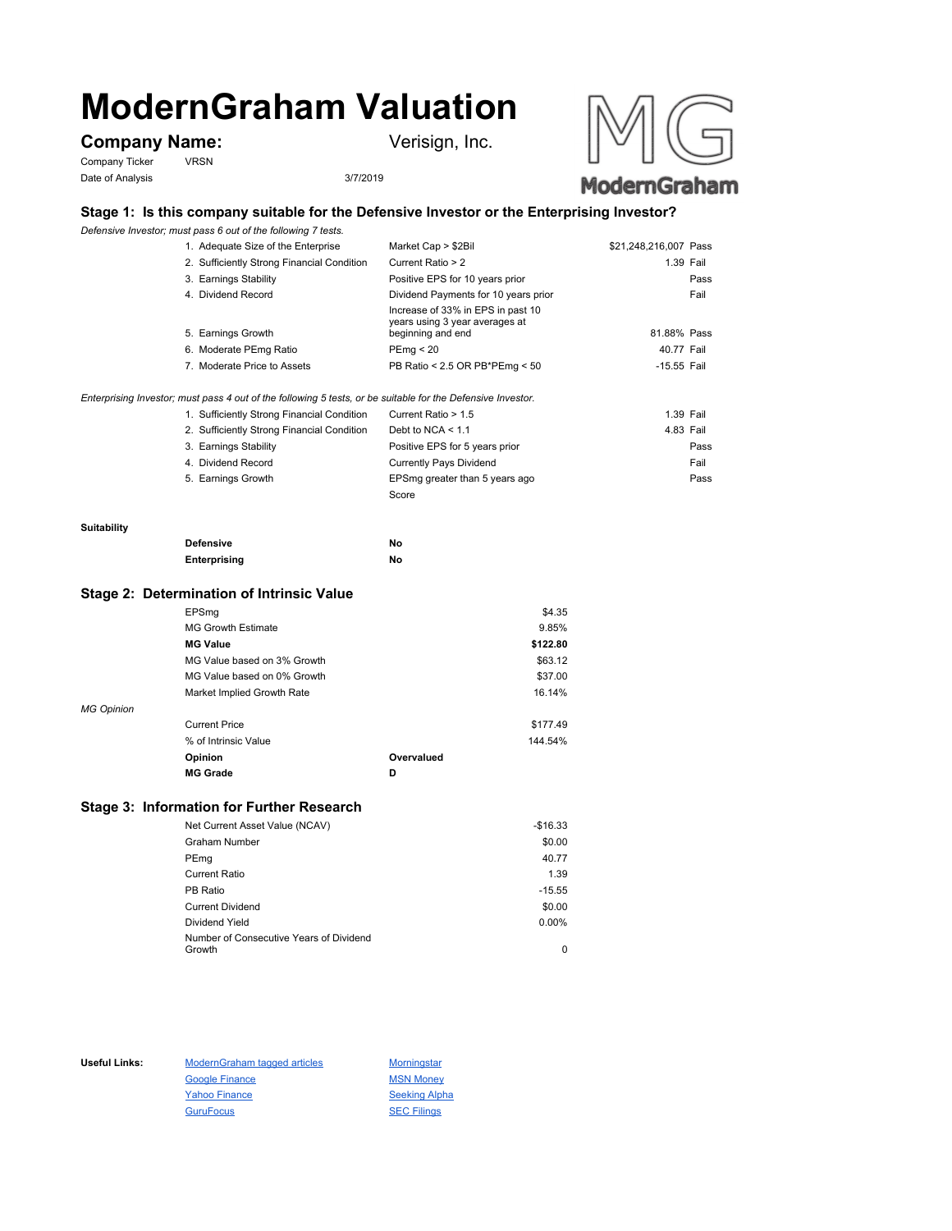# **ModernGraham Valuation**

# **Company Name:** Verisign, Inc.

Company Ticker VRSN Date of Analysis 3/7/2019



## **Stage 1: Is this company suitable for the Defensive Investor or the Enterprising Investor?**

*Defensive Investor; must pass 6 out of the following 7 tests.*

| 1. Adequate Size of the Enterprise         | Market Cap > \$2Bil                                                                      | \$21,248,216,007 Pass |
|--------------------------------------------|------------------------------------------------------------------------------------------|-----------------------|
| 2. Sufficiently Strong Financial Condition | Current Ratio > 2                                                                        | 1.39 Fail             |
| 3. Earnings Stability                      | Positive EPS for 10 years prior                                                          | Pass                  |
| 4. Dividend Record                         | Dividend Payments for 10 years prior                                                     | Fail                  |
| 5. Earnings Growth                         | Increase of 33% in EPS in past 10<br>years using 3 year averages at<br>beginning and end | 81.88% Pass           |
| 6. Moderate PEmg Ratio                     | PEmq < 20                                                                                | 40.77 Fail            |
| 7. Moderate Price to Assets                | PB Ratio < 2.5 OR PB*PEmg < 50                                                           | -15.55 Fail           |

*Enterprising Investor; must pass 4 out of the following 5 tests, or be suitable for the Defensive Investor.*

| 1. Sufficiently Strong Financial Condition | Current Ratio > 1.5            | 1.39 Fail |      |
|--------------------------------------------|--------------------------------|-----------|------|
| 2. Sufficiently Strong Financial Condition | Debt to NCA $<$ 1.1            | 4.83 Fail |      |
| 3. Earnings Stability                      | Positive EPS for 5 years prior |           | Pass |
| 4. Dividend Record                         | <b>Currently Pays Dividend</b> | Fail      |      |
| 5. Earnings Growth                         | EPSmg greater than 5 years ago |           | Pass |
|                                            | Score                          |           |      |

#### **Suitability**

| <b>Defensive</b> | No |
|------------------|----|
| Enterprising     | No |

### **Stage 2: Determination of Intrinsic Value**

|                   | EPSmg                       |            | \$4.35   |
|-------------------|-----------------------------|------------|----------|
|                   | <b>MG Growth Estimate</b>   |            | 9.85%    |
|                   | <b>MG Value</b>             |            | \$122.80 |
|                   | MG Value based on 3% Growth |            | \$63.12  |
|                   | MG Value based on 0% Growth |            | \$37.00  |
|                   | Market Implied Growth Rate  |            | 16.14%   |
| <b>MG Opinion</b> |                             |            |          |
|                   | <b>Current Price</b>        |            | \$177.49 |
|                   | % of Intrinsic Value        |            | 144.54%  |
|                   | Opinion                     | Overvalued |          |
|                   | <b>MG Grade</b>             | D          |          |
|                   |                             |            |          |

## **Stage 3: Information for Further Research**

| Net Current Asset Value (NCAV)          | $-$16.33$ |
|-----------------------------------------|-----------|
| Graham Number                           | \$0.00    |
| PEmg                                    | 40.77     |
| Current Ratio                           | 1.39      |
| PB Ratio                                | $-15.55$  |
| <b>Current Dividend</b>                 | \$0.00    |
| Dividend Yield                          | $0.00\%$  |
| Number of Consecutive Years of Dividend |           |
| Growth                                  | 0         |

Useful Links: ModernGraham tagged articles Morningstar Google Finance MSN Money Yahoo Finance Seeking Alpha GuruFocus SEC Filings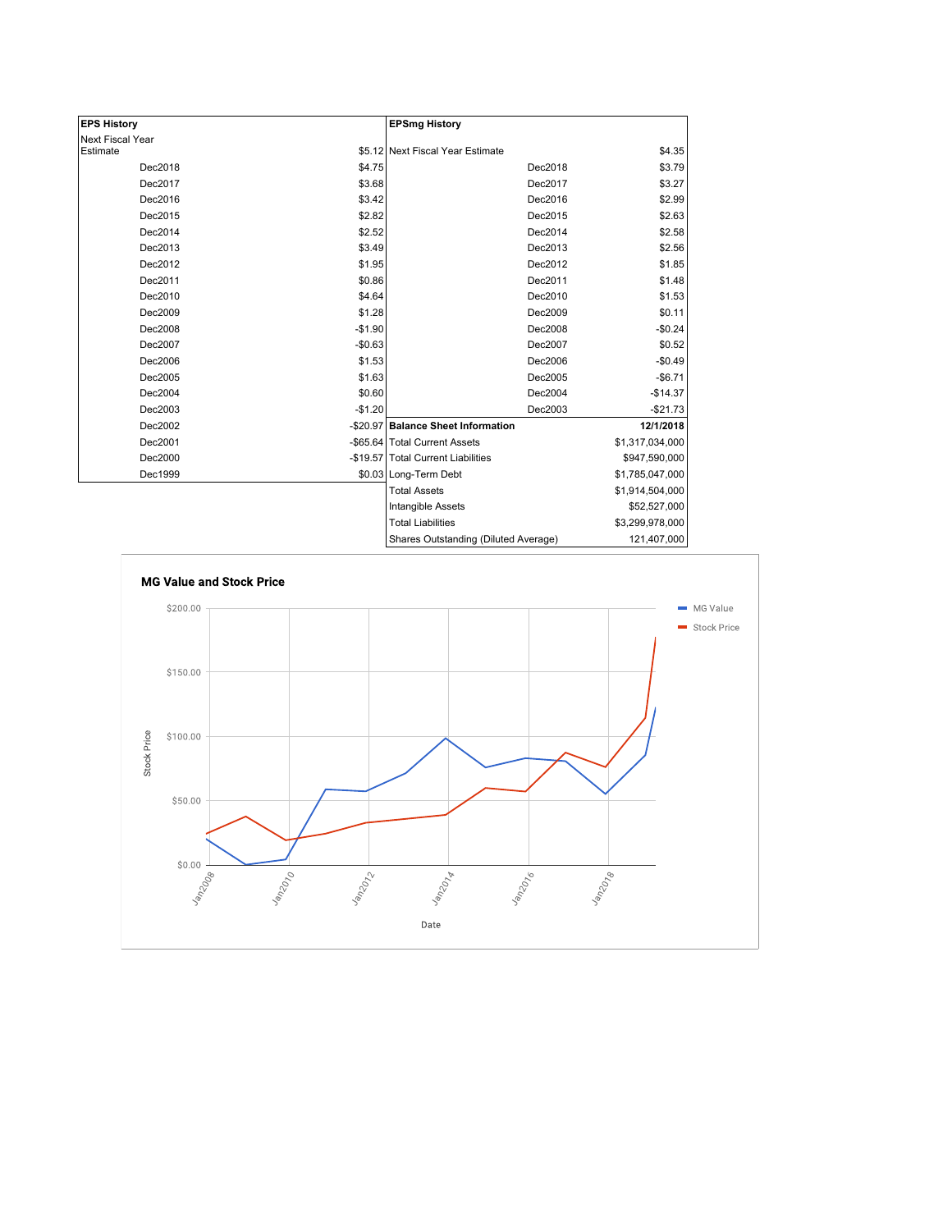| <b>EPS History</b> |          | <b>EPSmg History</b>                 |                 |
|--------------------|----------|--------------------------------------|-----------------|
| Next Fiscal Year   |          |                                      |                 |
| Estimate           |          | \$5.12 Next Fiscal Year Estimate     | \$4.35          |
| Dec2018            | \$4.75   | Dec2018                              | \$3.79          |
| Dec2017            | \$3.68   | Dec2017                              | \$3.27          |
| Dec2016            | \$3.42   | Dec2016                              | \$2.99          |
| Dec2015            | \$2.82   | Dec2015                              | \$2.63          |
| Dec2014            | \$2.52   | Dec2014                              | \$2.58          |
| Dec2013            | \$3.49   | Dec2013                              | \$2.56          |
| Dec2012            | \$1.95   | Dec2012                              | \$1.85          |
| Dec2011            | \$0.86   | Dec2011                              | \$1.48          |
| Dec2010            | \$4.64   | Dec2010                              | \$1.53          |
| Dec2009            | \$1.28   | Dec2009                              | \$0.11          |
| Dec2008            | $-$1.90$ | Dec2008                              | $-$0.24$        |
| Dec2007            | $-$0.63$ | Dec2007                              | \$0.52          |
| Dec2006            | \$1.53   | Dec2006                              | $-$0.49$        |
| Dec2005            | \$1.63   | Dec2005                              | $-$6.71$        |
| Dec2004            | \$0.60   | Dec2004                              | $-$14.37$       |
| Dec2003            | $-$1.20$ | Dec2003                              | $-$21.73$       |
| Dec2002            |          | -\$20.97 Balance Sheet Information   | 12/1/2018       |
| Dec2001            |          | -\$65.64 Total Current Assets        | \$1,317,034,000 |
| Dec2000            |          | -\$19.57 Total Current Liabilities   | \$947,590,000   |
| Dec1999            |          | \$0.03 Long-Term Debt                | \$1,785,047,000 |
|                    |          | <b>Total Assets</b>                  | \$1,914,504,000 |
|                    |          | Intangible Assets                    | \$52,527,000    |
|                    |          | <b>Total Liabilities</b>             | \$3,299,978,000 |
|                    |          | Charge Outetanding (Diluted Average) | 121 407 000     |